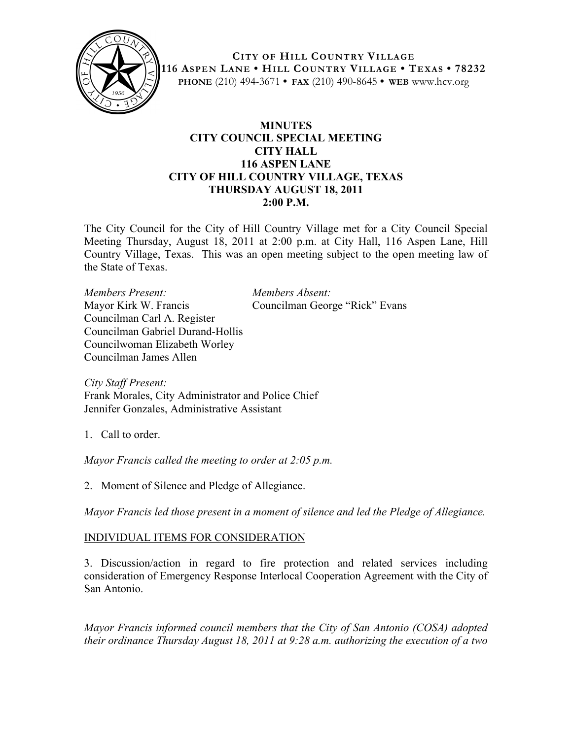

**CITY OF HILL COUNTRY VILLAGE 116 ASPEN LANE • HILL COUNTRY VILLAGE • TEXAS • 78232 PHONE** (210) 494-3671 **• FAX** (210) 490-8645 **• WEB** www.hcv.org

## **MINUTES CITY COUNCIL SPECIAL MEETING CITY HALL 116 ASPEN LANE CITY OF HILL COUNTRY VILLAGE, TEXAS THURSDAY AUGUST 18, 2011 2:00 P.M.**

The City Council for the City of Hill Country Village met for a City Council Special Meeting Thursday, August 18, 2011 at 2:00 p.m. at City Hall, 116 Aspen Lane, Hill Country Village, Texas. This was an open meeting subject to the open meeting law of the State of Texas.

*Members Present: Members Absent:* Mayor Kirk W. Francis Councilman George "Rick" Evans Councilman Carl A. Register Councilman Gabriel Durand-Hollis Councilwoman Elizabeth Worley Councilman James Allen

*City Staff Present:* Frank Morales, City Administrator and Police Chief Jennifer Gonzales, Administrative Assistant

1. Call to order.

*Mayor Francis called the meeting to order at 2:05 p.m.*

2. Moment of Silence and Pledge of Allegiance.

*Mayor Francis led those present in a moment of silence and led the Pledge of Allegiance.*

## INDIVIDUAL ITEMS FOR CONSIDERATION

3. Discussion/action in regard to fire protection and related services including consideration of Emergency Response Interlocal Cooperation Agreement with the City of San Antonio.

*Mayor Francis informed council members that the City of San Antonio (COSA) adopted their ordinance Thursday August 18, 2011 at 9:28 a.m. authorizing the execution of a two*